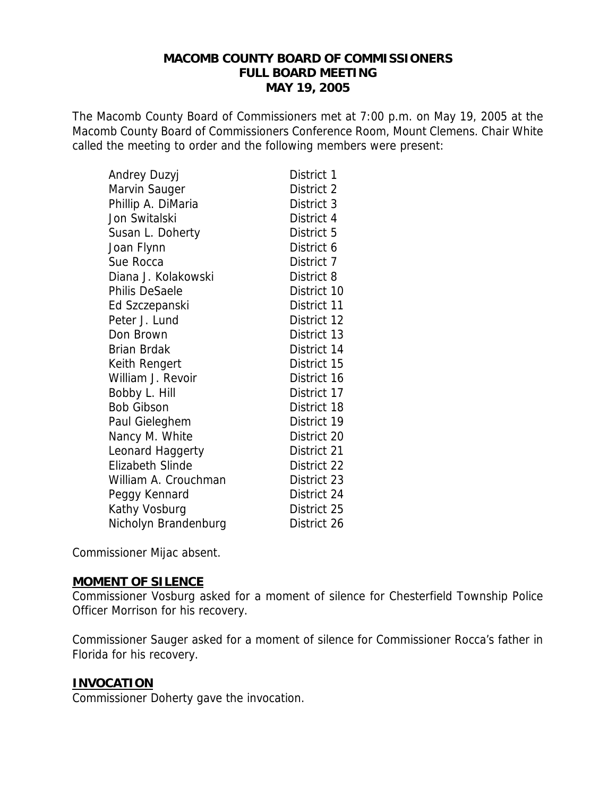### **MACOMB COUNTY BOARD OF COMMISSIONERS FULL BOARD MEETING MAY 19, 2005**

The Macomb County Board of Commissioners met at 7:00 p.m. on May 19, 2005 at the Macomb County Board of Commissioners Conference Room, Mount Clemens. Chair White called the meeting to order and the following members were present:

| Andrey Duzyj            | District 1  |
|-------------------------|-------------|
| Marvin Sauger           | District 2  |
| Phillip A. DiMaria      | District 3  |
| Jon Switalski           | District 4  |
| Susan L. Doherty        | District 5  |
| Joan Flynn              | District 6  |
| Sue Rocca               | District 7  |
| Diana J. Kolakowski     | District 8  |
| <b>Philis DeSaele</b>   | District 10 |
| Ed Szczepanski          | District 11 |
| Peter J. Lund           | District 12 |
| Don Brown               | District 13 |
| <b>Brian Brdak</b>      | District 14 |
| Keith Rengert           | District 15 |
| William J. Revoir       | District 16 |
| Bobby L. Hill           | District 17 |
| <b>Bob Gibson</b>       | District 18 |
| Paul Gieleghem          | District 19 |
| Nancy M. White          | District 20 |
| Leonard Haggerty        | District 21 |
| <b>Elizabeth Slinde</b> | District 22 |
| William A. Crouchman    | District 23 |
| Peggy Kennard           | District 24 |
| Kathy Vosburg           | District 25 |
| Nicholyn Brandenburg    | District 26 |

Commissioner Mijac absent.

### **MOMENT OF SILENCE**

Commissioner Vosburg asked for a moment of silence for Chesterfield Township Police Officer Morrison for his recovery.

Commissioner Sauger asked for a moment of silence for Commissioner Rocca's father in Florida for his recovery.

### **INVOCATION**

Commissioner Doherty gave the invocation.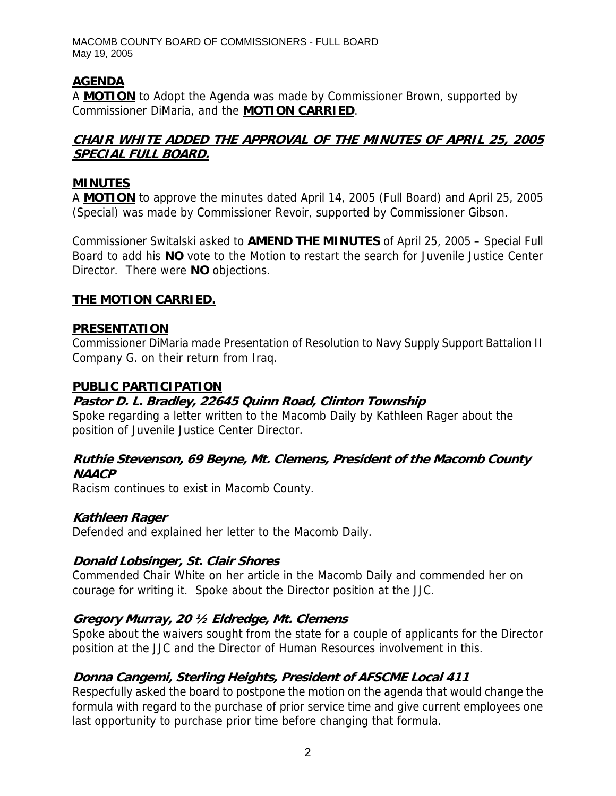# **AGENDA**

A **MOTION** to Adopt the Agenda was made by Commissioner Brown, supported by Commissioner DiMaria, and the **MOTION CARRIED**.

# **CHAIR WHITE ADDED THE APPROVAL OF THE MINUTES OF APRIL 25, 2005 SPECIAL FULL BOARD.**

### **MINUTES**

A **MOTION** to approve the minutes dated April 14, 2005 (Full Board) and April 25, 2005 (Special) was made by Commissioner Revoir, supported by Commissioner Gibson.

Commissioner Switalski asked to **AMEND THE MINUTES** of April 25, 2005 – Special Full Board to add his **NO** vote to the Motion to restart the search for Juvenile Justice Center Director. There were **NO** objections.

## **THE MOTION CARRIED.**

### **PRESENTATION**

Commissioner DiMaria made Presentation of Resolution to Navy Supply Support Battalion II Company G. on their return from Iraq.

### **PUBLIC PARTICIPATION**

## **Pastor D. L. Bradley, 22645 Quinn Road, Clinton Township**

Spoke regarding a letter written to the Macomb Daily by Kathleen Rager about the position of Juvenile Justice Center Director.

## **Ruthie Stevenson, 69 Beyne, Mt. Clemens, President of the Macomb County NAACP**

Racism continues to exist in Macomb County.

### **Kathleen Rager**

Defended and explained her letter to the Macomb Daily.

# **Donald Lobsinger, St. Clair Shores**

Commended Chair White on her article in the Macomb Daily and commended her on courage for writing it. Spoke about the Director position at the JJC.

# **Gregory Murray, 20 ½ Eldredge, Mt. Clemens**

Spoke about the waivers sought from the state for a couple of applicants for the Director position at the JJC and the Director of Human Resources involvement in this.

# **Donna Cangemi, Sterling Heights, President of AFSCME Local 411**

Respecfully asked the board to postpone the motion on the agenda that would change the formula with regard to the purchase of prior service time and give current employees one last opportunity to purchase prior time before changing that formula.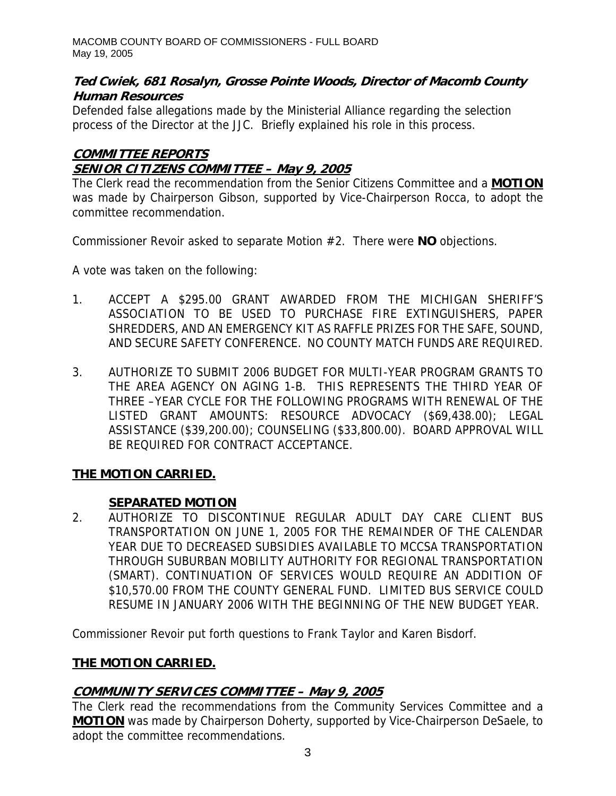# **Ted Cwiek, 681 Rosalyn, Grosse Pointe Woods, Director of Macomb County Human Resources**

Defended false allegations made by the Ministerial Alliance regarding the selection process of the Director at the JJC. Briefly explained his role in this process.

# **COMMITTEE REPORTS SENIOR CITIZENS COMMITTEE – May 9, 2005**

The Clerk read the recommendation from the Senior Citizens Committee and a **MOTION** was made by Chairperson Gibson, supported by Vice-Chairperson Rocca, to adopt the committee recommendation.

Commissioner Revoir asked to separate Motion #2. There were **NO** objections.

A vote was taken on the following:

- 1. ACCEPT A \$295.00 GRANT AWARDED FROM THE MICHIGAN SHERIFF'S ASSOCIATION TO BE USED TO PURCHASE FIRE EXTINGUISHERS, PAPER SHREDDERS, AND AN EMERGENCY KIT AS RAFFLE PRIZES FOR THE SAFE, SOUND, AND SECURE SAFETY CONFERENCE. NO COUNTY MATCH FUNDS ARE REQUIRED.
- 3. AUTHORIZE TO SUBMIT 2006 BUDGET FOR MULTI-YEAR PROGRAM GRANTS TO THE AREA AGENCY ON AGING 1-B. THIS REPRESENTS THE THIRD YEAR OF THREE –YEAR CYCLE FOR THE FOLLOWING PROGRAMS WITH RENEWAL OF THE LISTED GRANT AMOUNTS: RESOURCE ADVOCACY (\$69,438.00); LEGAL ASSISTANCE (\$39,200.00); COUNSELING (\$33,800.00). BOARD APPROVAL WILL BE REQUIRED FOR CONTRACT ACCEPTANCE.

# **THE MOTION CARRIED.**

# **SEPARATED MOTION**

2. AUTHORIZE TO DISCONTINUE REGULAR ADULT DAY CARE CLIENT BUS TRANSPORTATION ON JUNE 1, 2005 FOR THE REMAINDER OF THE CALENDAR YEAR DUE TO DECREASED SUBSIDIES AVAILABLE TO MCCSA TRANSPORTATION THROUGH SUBURBAN MOBILITY AUTHORITY FOR REGIONAL TRANSPORTATION (SMART). CONTINUATION OF SERVICES WOULD REQUIRE AN ADDITION OF \$10,570.00 FROM THE COUNTY GENERAL FUND. LIMITED BUS SERVICE COULD RESUME IN JANUARY 2006 WITH THE BEGINNING OF THE NEW BUDGET YEAR.

Commissioner Revoir put forth questions to Frank Taylor and Karen Bisdorf.

# **THE MOTION CARRIED.**

# **COMMUNITY SERVICES COMMITTEE – May 9, 2005**

The Clerk read the recommendations from the Community Services Committee and a **MOTION** was made by Chairperson Doherty, supported by Vice-Chairperson DeSaele, to adopt the committee recommendations.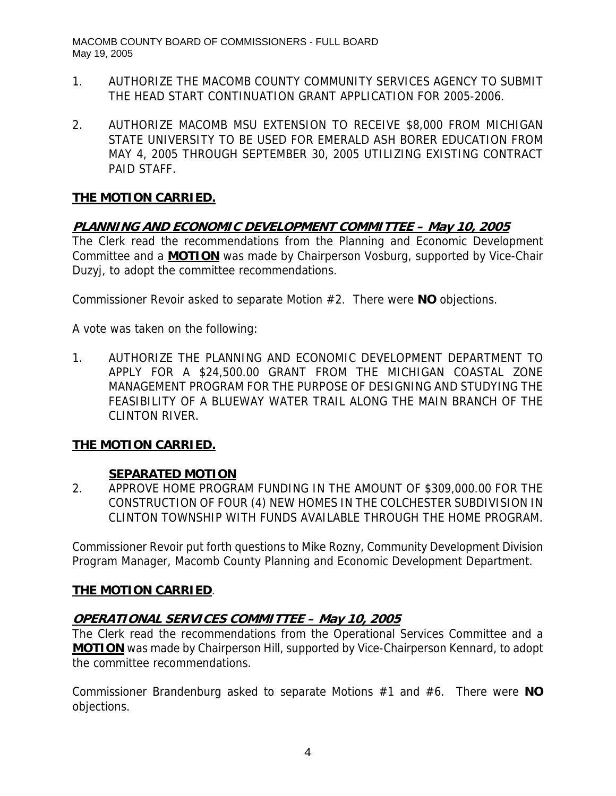- 1. AUTHORIZE THE MACOMB COUNTY COMMUNITY SERVICES AGENCY TO SUBMIT THE HEAD START CONTINUATION GRANT APPLICATION FOR 2005-2006.
- 2. AUTHORIZE MACOMB MSU EXTENSION TO RECEIVE \$8,000 FROM MICHIGAN STATE UNIVERSITY TO BE USED FOR EMERALD ASH BORER EDUCATION FROM MAY 4, 2005 THROUGH SEPTEMBER 30, 2005 UTILIZING EXISTING CONTRACT PAID STAFF.

## **PLANNING AND ECONOMIC DEVELOPMENT COMMITTEE – May 10, 2005**

The Clerk read the recommendations from the Planning and Economic Development Committee and a **MOTION** was made by Chairperson Vosburg, supported by Vice-Chair Duzyj, to adopt the committee recommendations.

Commissioner Revoir asked to separate Motion #2. There were **NO** objections.

A vote was taken on the following:

1. AUTHORIZE THE PLANNING AND ECONOMIC DEVELOPMENT DEPARTMENT TO APPLY FOR A \$24,500.00 GRANT FROM THE MICHIGAN COASTAL ZONE MANAGEMENT PROGRAM FOR THE PURPOSE OF DESIGNING AND STUDYING THE FEASIBILITY OF A BLUEWAY WATER TRAIL ALONG THE MAIN BRANCH OF THE CLINTON RIVER.

### **THE MOTION CARRIED.**

### **SEPARATED MOTION**

2. APPROVE HOME PROGRAM FUNDING IN THE AMOUNT OF \$309,000.00 FOR THE CONSTRUCTION OF FOUR (4) NEW HOMES IN THE COLCHESTER SUBDIVISION IN CLINTON TOWNSHIP WITH FUNDS AVAILABLE THROUGH THE HOME PROGRAM.

Commissioner Revoir put forth questions to Mike Rozny, Community Development Division Program Manager, Macomb County Planning and Economic Development Department.

### **THE MOTION CARRIED**.

### **OPERATIONAL SERVICES COMMITTEE – May 10, 2005**

The Clerk read the recommendations from the Operational Services Committee and a **MOTION** was made by Chairperson Hill, supported by Vice-Chairperson Kennard, to adopt the committee recommendations.

Commissioner Brandenburg asked to separate Motions #1 and #6. There were **NO** objections.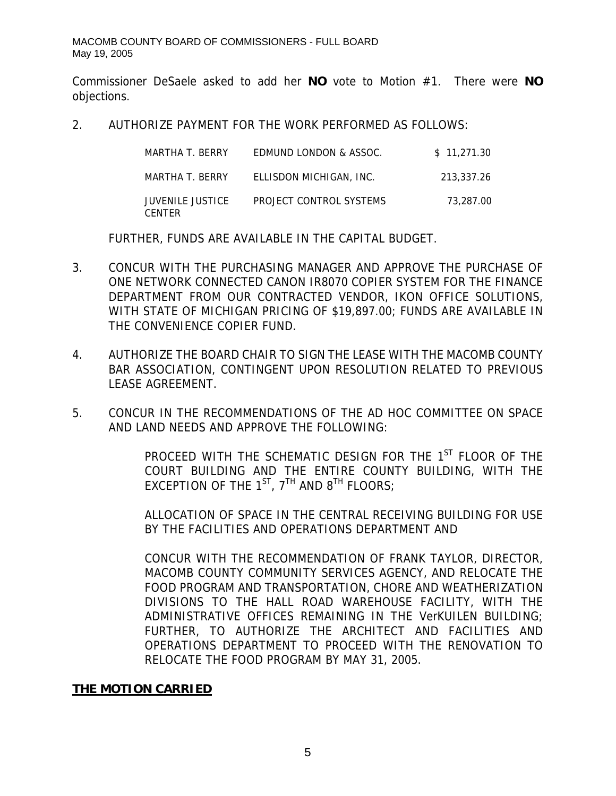Commissioner DeSaele asked to add her **NO** vote to Motion #1. There were **NO** objections.

2. AUTHORIZE PAYMENT FOR THE WORK PERFORMED AS FOLLOWS:

| MARTHA T. BERRY                   | EDMUND LONDON & ASSOC.  | \$11.271.30 |
|-----------------------------------|-------------------------|-------------|
| MARTHA T. BERRY                   | ELLISDON MICHIGAN, INC. | 213.337.26  |
| JUVENILE JUSTICE<br><b>CENTER</b> | PROJECT CONTROL SYSTEMS | 73,287.00   |

FURTHER, FUNDS ARE AVAILABLE IN THE CAPITAL BUDGET.

- 3. CONCUR WITH THE PURCHASING MANAGER AND APPROVE THE PURCHASE OF ONE NETWORK CONNECTED CANON IR8070 COPIER SYSTEM FOR THE FINANCE DEPARTMENT FROM OUR CONTRACTED VENDOR, IKON OFFICE SOLUTIONS, WITH STATE OF MICHIGAN PRICING OF \$19,897.00; FUNDS ARE AVAILABLE IN THE CONVENIENCE COPIER FUND.
- 4. AUTHORIZE THE BOARD CHAIR TO SIGN THE LEASE WITH THE MACOMB COUNTY BAR ASSOCIATION, CONTINGENT UPON RESOLUTION RELATED TO PREVIOUS LEASE AGREEMENT.
- 5. CONCUR IN THE RECOMMENDATIONS OF THE AD HOC COMMITTEE ON SPACE AND LAND NEEDS AND APPROVE THE FOLLOWING:

PROCEED WITH THE SCHEMATIC DESIGN FOR THE 1<sup>ST</sup> FLOOR OF THE COURT BUILDING AND THE ENTIRE COUNTY BUILDING, WITH THE EXCEPTION OF THE  $1^{ST}$ ,  $7^{TH}$  AND  $8^{TH}$  FLOORS;

ALLOCATION OF SPACE IN THE CENTRAL RECEIVING BUILDING FOR USE BY THE FACILITIES AND OPERATIONS DEPARTMENT AND

CONCUR WITH THE RECOMMENDATION OF FRANK TAYLOR, DIRECTOR, MACOMB COUNTY COMMUNITY SERVICES AGENCY, AND RELOCATE THE FOOD PROGRAM AND TRANSPORTATION, CHORE AND WEATHERIZATION DIVISIONS TO THE HALL ROAD WAREHOUSE FACILITY, WITH THE ADMINISTRATIVE OFFICES REMAINING IN THE VerKUILEN BUILDING; FURTHER, TO AUTHORIZE THE ARCHITECT AND FACILITIES AND OPERATIONS DEPARTMENT TO PROCEED WITH THE RENOVATION TO RELOCATE THE FOOD PROGRAM BY MAY 31, 2005.

### **THE MOTION CARRIED**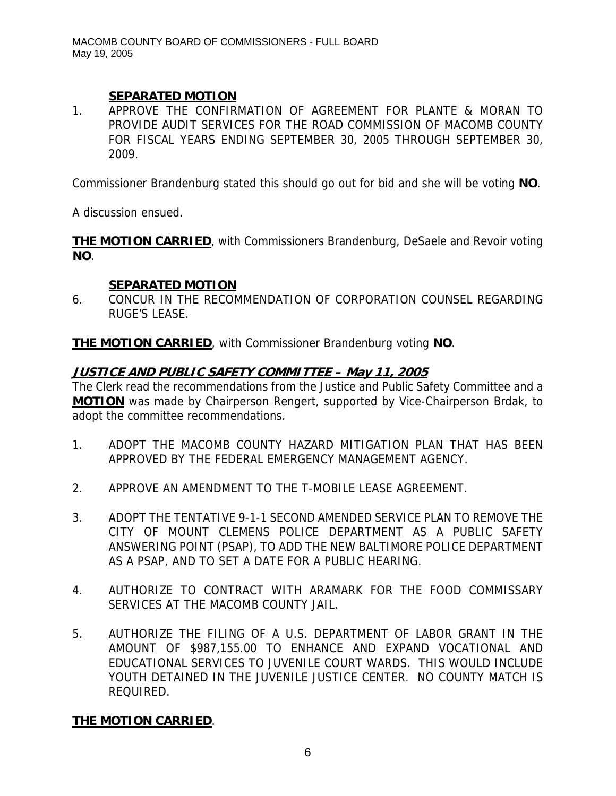# **SEPARATED MOTION**

1. APPROVE THE CONFIRMATION OF AGREEMENT FOR PLANTE & MORAN TO PROVIDE AUDIT SERVICES FOR THE ROAD COMMISSION OF MACOMB COUNTY FOR FISCAL YEARS ENDING SEPTEMBER 30, 2005 THROUGH SEPTEMBER 30, 2009.

Commissioner Brandenburg stated this should go out for bid and she will be voting **NO**.

A discussion ensued.

**THE MOTION CARRIED**, with Commissioners Brandenburg, DeSaele and Revoir voting **NO**.

## **SEPARATED MOTION**

6. CONCUR IN THE RECOMMENDATION OF CORPORATION COUNSEL REGARDING RUGE'S LEASE.

**THE MOTION CARRIED**, with Commissioner Brandenburg voting **NO**.

# **JUSTICE AND PUBLIC SAFETY COMMITTEE – May 11, 2005**

The Clerk read the recommendations from the Justice and Public Safety Committee and a **MOTION** was made by Chairperson Rengert, supported by Vice-Chairperson Brdak, to adopt the committee recommendations.

- 1. ADOPT THE MACOMB COUNTY HAZARD MITIGATION PLAN THAT HAS BEEN APPROVED BY THE FEDERAL EMERGENCY MANAGEMENT AGENCY.
- 2. APPROVE AN AMENDMENT TO THE T-MOBILE LEASE AGREEMENT.
- 3. ADOPT THE TENTATIVE 9-1-1 SECOND AMENDED SERVICE PLAN TO REMOVE THE CITY OF MOUNT CLEMENS POLICE DEPARTMENT AS A PUBLIC SAFETY ANSWERING POINT (PSAP), TO ADD THE NEW BALTIMORE POLICE DEPARTMENT AS A PSAP, AND TO SET A DATE FOR A PUBLIC HEARING.
- 4. AUTHORIZE TO CONTRACT WITH ARAMARK FOR THE FOOD COMMISSARY SERVICES AT THE MACOMB COUNTY JAIL.
- 5. AUTHORIZE THE FILING OF A U.S. DEPARTMENT OF LABOR GRANT IN THE AMOUNT OF \$987,155.00 TO ENHANCE AND EXPAND VOCATIONAL AND EDUCATIONAL SERVICES TO JUVENILE COURT WARDS. THIS WOULD INCLUDE YOUTH DETAINED IN THE JUVENILE JUSTICE CENTER. NO COUNTY MATCH IS REQUIRED.

# **THE MOTION CARRIED**.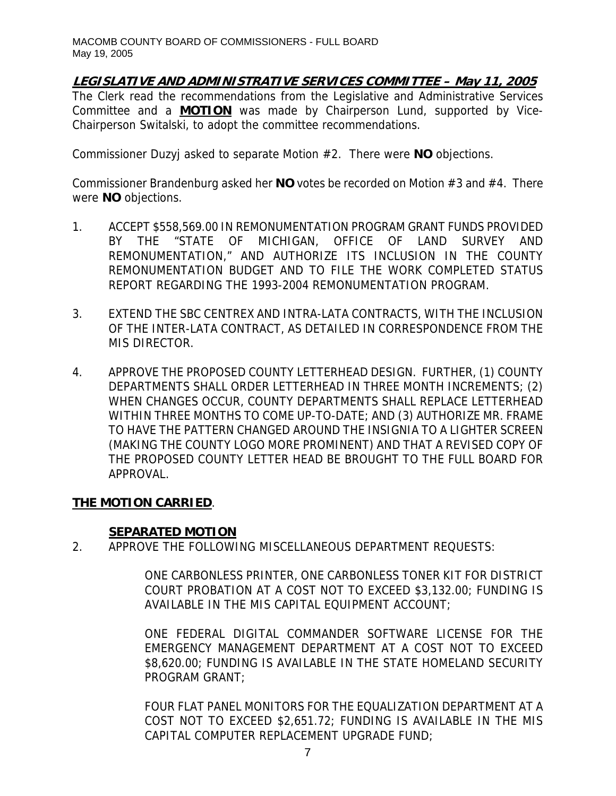# **LEGISLATIVE AND ADMINISTRATIVE SERVICES COMMITTEE – May 11, 2005**

The Clerk read the recommendations from the Legislative and Administrative Services Committee and a **MOTION** was made by Chairperson Lund, supported by Vice-Chairperson Switalski, to adopt the committee recommendations.

Commissioner Duzyj asked to separate Motion #2. There were **NO** objections.

Commissioner Brandenburg asked her **NO** votes be recorded on Motion #3 and #4. There were **NO** objections.

- 1. ACCEPT \$558,569.00 IN REMONUMENTATION PROGRAM GRANT FUNDS PROVIDED BY THE "STATE OF MICHIGAN, OFFICE OF LAND SURVEY AND REMONUMENTATION," AND AUTHORIZE ITS INCLUSION IN THE COUNTY REMONUMENTATION BUDGET AND TO FILE THE WORK COMPLETED STATUS REPORT REGARDING THE 1993-2004 REMONUMENTATION PROGRAM.
- 3. EXTEND THE SBC CENTREX AND INTRA-LATA CONTRACTS, WITH THE INCLUSION OF THE INTER-LATA CONTRACT, AS DETAILED IN CORRESPONDENCE FROM THE MIS DIRECTOR.
- 4. APPROVE THE PROPOSED COUNTY LETTERHEAD DESIGN. FURTHER, (1) COUNTY DEPARTMENTS SHALL ORDER LETTERHEAD IN THREE MONTH INCREMENTS; (2) WHEN CHANGES OCCUR, COUNTY DEPARTMENTS SHALL REPLACE LETTERHEAD WITHIN THREE MONTHS TO COME UP-TO-DATE; AND (3) AUTHORIZE MR. FRAME TO HAVE THE PATTERN CHANGED AROUND THE INSIGNIA TO A LIGHTER SCREEN (MAKING THE COUNTY LOGO MORE PROMINENT) AND THAT A REVISED COPY OF THE PROPOSED COUNTY LETTER HEAD BE BROUGHT TO THE FULL BOARD FOR APPROVAL.

# **THE MOTION CARRIED**.

### **SEPARATED MOTION**

2. APPROVE THE FOLLOWING MISCELLANEOUS DEPARTMENT REQUESTS:

ONE CARBONLESS PRINTER, ONE CARBONLESS TONER KIT FOR DISTRICT COURT PROBATION AT A COST NOT TO EXCEED \$3,132.00; FUNDING IS AVAILABLE IN THE MIS CAPITAL EQUIPMENT ACCOUNT;

ONE FEDERAL DIGITAL COMMANDER SOFTWARE LICENSE FOR THE EMERGENCY MANAGEMENT DEPARTMENT AT A COST NOT TO EXCEED \$8,620.00; FUNDING IS AVAILABLE IN THE STATE HOMELAND SECURITY PROGRAM GRANT;

FOUR FLAT PANEL MONITORS FOR THE EQUALIZATION DEPARTMENT AT A COST NOT TO EXCEED \$2,651.72; FUNDING IS AVAILABLE IN THE MIS CAPITAL COMPUTER REPLACEMENT UPGRADE FUND;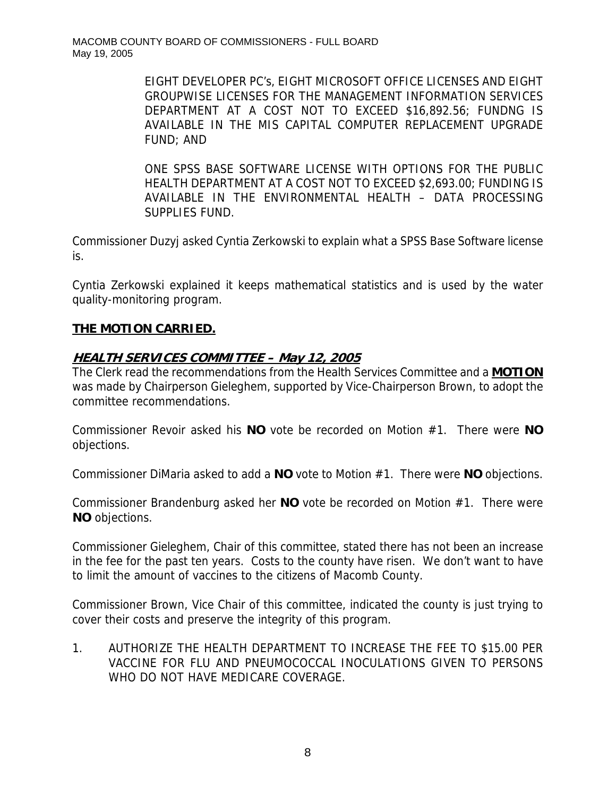EIGHT DEVELOPER PC's, EIGHT MICROSOFT OFFICE LICENSES AND EIGHT GROUPWISE LICENSES FOR THE MANAGEMENT INFORMATION SERVICES DEPARTMENT AT A COST NOT TO EXCEED \$16,892.56; FUNDNG IS AVAILABLE IN THE MIS CAPITAL COMPUTER REPLACEMENT UPGRADE FUND; AND

ONE SPSS BASE SOFTWARE LICENSE WITH OPTIONS FOR THE PUBLIC HEALTH DEPARTMENT AT A COST NOT TO EXCEED \$2,693.00; FUNDING IS AVAILABLE IN THE ENVIRONMENTAL HEALTH – DATA PROCESSING SUPPLIES FUND.

Commissioner Duzyj asked Cyntia Zerkowski to explain what a SPSS Base Software license is.

Cyntia Zerkowski explained it keeps mathematical statistics and is used by the water quality-monitoring program.

# **THE MOTION CARRIED.**

# **HEALTH SERVICES COMMITTEE – May 12, 2005**

The Clerk read the recommendations from the Health Services Committee and a **MOTION** was made by Chairperson Gieleghem, supported by Vice-Chairperson Brown, to adopt the committee recommendations.

Commissioner Revoir asked his **NO** vote be recorded on Motion #1. There were **NO** objections.

Commissioner DiMaria asked to add a **NO** vote to Motion #1. There were **NO** objections.

Commissioner Brandenburg asked her **NO** vote be recorded on Motion #1. There were **NO** objections.

Commissioner Gieleghem, Chair of this committee, stated there has not been an increase in the fee for the past ten years. Costs to the county have risen. We don't want to have to limit the amount of vaccines to the citizens of Macomb County.

Commissioner Brown, Vice Chair of this committee, indicated the county is just trying to cover their costs and preserve the integrity of this program.

1. AUTHORIZE THE HEALTH DEPARTMENT TO INCREASE THE FEE TO \$15.00 PER VACCINE FOR FLU AND PNEUMOCOCCAL INOCULATIONS GIVEN TO PERSONS WHO DO NOT HAVE MEDICARE COVERAGE.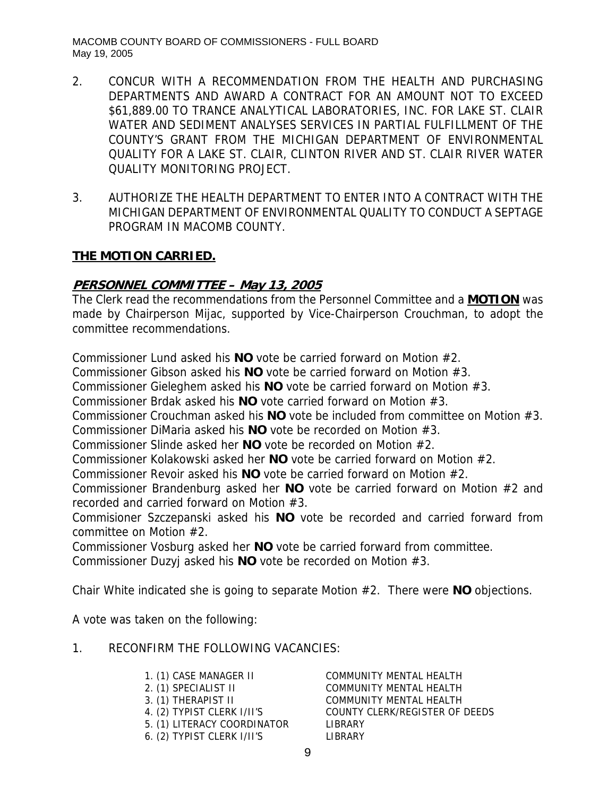- 2. CONCUR WITH A RECOMMENDATION FROM THE HEALTH AND PURCHASING DEPARTMENTS AND AWARD A CONTRACT FOR AN AMOUNT NOT TO EXCEED \$61,889.00 TO TRANCE ANALYTICAL LABORATORIES, INC. FOR LAKE ST. CLAIR WATER AND SEDIMENT ANALYSES SERVICES IN PARTIAL FULFILLMENT OF THE COUNTY'S GRANT FROM THE MICHIGAN DEPARTMENT OF ENVIRONMENTAL QUALITY FOR A LAKE ST. CLAIR, CLINTON RIVER AND ST. CLAIR RIVER WATER QUALITY MONITORING PROJECT.
- 3. AUTHORIZE THE HEALTH DEPARTMENT TO ENTER INTO A CONTRACT WITH THE MICHIGAN DEPARTMENT OF ENVIRONMENTAL QUALITY TO CONDUCT A SEPTAGE PROGRAM IN MACOMB COUNTY.

## **PERSONNEL COMMITTEE – May 13, 2005**

The Clerk read the recommendations from the Personnel Committee and a **MOTION** was made by Chairperson Mijac, supported by Vice-Chairperson Crouchman, to adopt the committee recommendations.

Commissioner Lund asked his **NO** vote be carried forward on Motion #2.

Commissioner Gibson asked his **NO** vote be carried forward on Motion #3.

Commissioner Gieleghem asked his **NO** vote be carried forward on Motion #3.

Commissioner Brdak asked his **NO** vote carried forward on Motion #3.

Commissioner Crouchman asked his **NO** vote be included from committee on Motion #3.

Commissioner DiMaria asked his **NO** vote be recorded on Motion #3.

Commissioner Slinde asked her **NO** vote be recorded on Motion #2.

Commissioner Kolakowski asked her **NO** vote be carried forward on Motion #2.

Commissioner Revoir asked his **NO** vote be carried forward on Motion #2.

Commissioner Brandenburg asked her **NO** vote be carried forward on Motion #2 and recorded and carried forward on Motion #3.

Commisioner Szczepanski asked his **NO** vote be recorded and carried forward from committee on Motion #2.

Commissioner Vosburg asked her **NO** vote be carried forward from committee.

Commissioner Duzyj asked his **NO** vote be recorded on Motion #3.

Chair White indicated she is going to separate Motion #2. There were **NO** objections.

A vote was taken on the following:

### 1. RECONFIRM THE FOLLOWING VACANCIES:

| 1. (1) CASE MANAGER II      | <b>COMMUNITY MENTAL HEALTH</b> |
|-----------------------------|--------------------------------|
| 2. (1) SPECIALIST II        | <b>COMMUNITY MENTAL HEALTH</b> |
| 3. (1) THERAPIST II         | COMMUNITY MENTAL HEALTH        |
| 4. (2) TYPIST CLERK I/II'S  | COUNTY CLERK/REGISTER OF DEEDS |
| 5. (1) LITERACY COORDINATOR | LIBRARY                        |
| 6. (2) TYPIST CLERK I/II'S  | LIBRARY                        |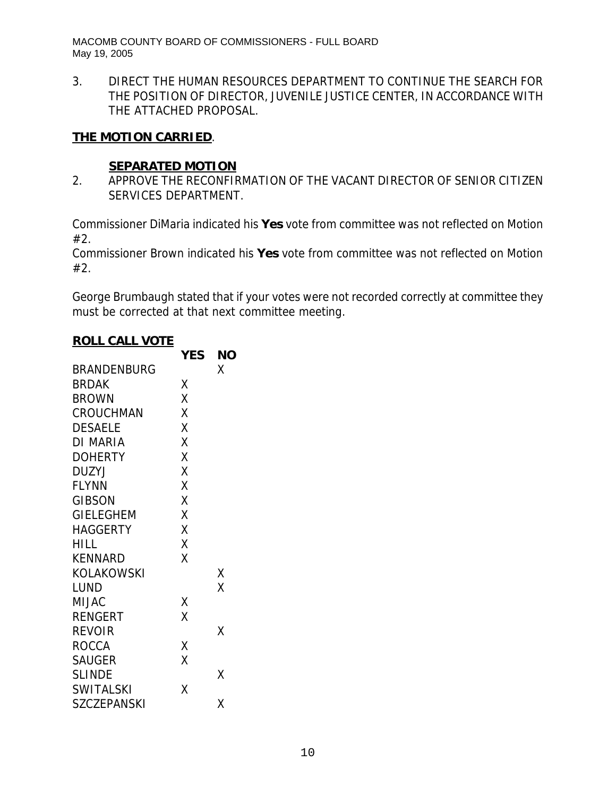3. DIRECT THE HUMAN RESOURCES DEPARTMENT TO CONTINUE THE SEARCH FOR THE POSITION OF DIRECTOR, JUVENILE JUSTICE CENTER, IN ACCORDANCE WITH THE ATTACHED PROPOSAL.

# **THE MOTION CARRIED**.

## **SEPARATED MOTION**

2. APPROVE THE RECONFIRMATION OF THE VACANT DIRECTOR OF SENIOR CITIZEN SERVICES DEPARTMENT.

Commissioner DiMaria indicated his **Yes** vote from committee was not reflected on Motion #2.

Commissioner Brown indicated his **Yes** vote from committee was not reflected on Motion #2.

George Brumbaugh stated that if your votes were not recorded correctly at committee they must be corrected at that next committee meeting.

#### **ROLL CALL VOTE**

|                    | <b>YES</b> | ΝO |
|--------------------|------------|----|
| BRANDENBURG        |            | Χ  |
| <b>BRDAK</b>       | Χ          |    |
| <b>BROWN</b>       | X          |    |
| <b>CROUCHMAN</b>   | X          |    |
| <b>DESAELE</b>     | X          |    |
| DI MARIA           | X          |    |
| <b>DOHERTY</b>     | X          |    |
| DUZYJ              | X          |    |
| <b>FLYNN</b>       | X          |    |
| <b>GIBSON</b>      | X          |    |
| <b>GIELEGHEM</b>   | X          |    |
| HAGGERTY           | Χ          |    |
| HILL               | X          |    |
| <b>KENNARD</b>     | X          |    |
| KOLAKOWSKI         |            | Χ  |
| LUND               |            | X  |
| <b>MIJAC</b>       | Χ          |    |
| RENGERT            | X          |    |
| <b>REVOIR</b>      |            | Χ  |
| ROCCA              | Χ          |    |
| <b>SAUGER</b>      | Χ          |    |
| <b>SLINDE</b>      |            | Χ  |
| <b>SWITALSKI</b>   | Χ          |    |
| <b>SZCZEPANSKI</b> |            | χ  |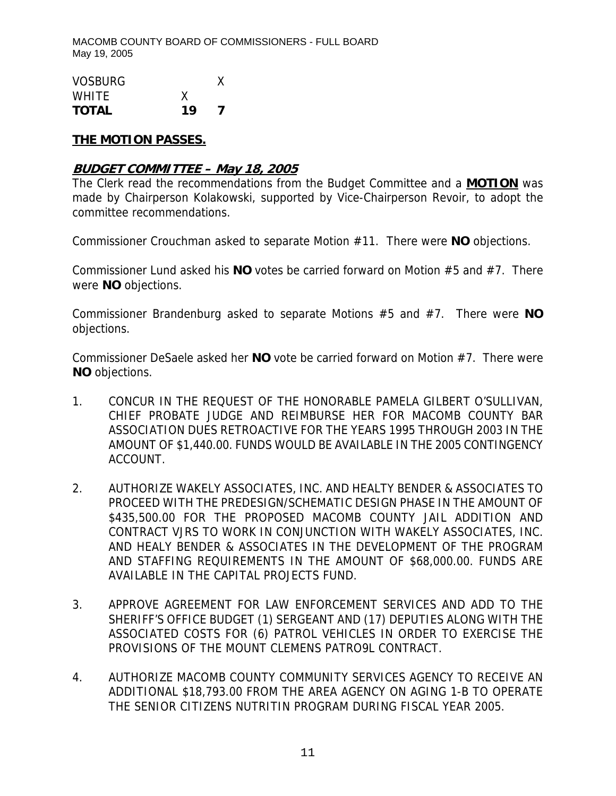| <b>VOSBURG</b> |    |  |
|----------------|----|--|
| <b>WHITE</b>   | χ  |  |
| <b>TOTAL</b>   | 19 |  |

### **THE MOTION PASSES.**

### **BUDGET COMMITTEE – May 18, 2005**

The Clerk read the recommendations from the Budget Committee and a **MOTION** was made by Chairperson Kolakowski, supported by Vice-Chairperson Revoir, to adopt the committee recommendations.

Commissioner Crouchman asked to separate Motion #11. There were **NO** objections.

Commissioner Lund asked his **NO** votes be carried forward on Motion #5 and #7. There were **NO** objections.

Commissioner Brandenburg asked to separate Motions #5 and #7. There were **NO** objections.

Commissioner DeSaele asked her **NO** vote be carried forward on Motion #7. There were **NO** objections.

- 1. CONCUR IN THE REQUEST OF THE HONORABLE PAMELA GILBERT O'SULLIVAN, CHIEF PROBATE JUDGE AND REIMBURSE HER FOR MACOMB COUNTY BAR ASSOCIATION DUES RETROACTIVE FOR THE YEARS 1995 THROUGH 2003 IN THE AMOUNT OF \$1,440.00. FUNDS WOULD BE AVAILABLE IN THE 2005 CONTINGENCY ACCOUNT.
- 2. AUTHORIZE WAKELY ASSOCIATES, INC. AND HEALTY BENDER & ASSOCIATES TO PROCEED WITH THE PREDESIGN/SCHEMATIC DESIGN PHASE IN THE AMOUNT OF \$435,500.00 FOR THE PROPOSED MACOMB COUNTY JAIL ADDITION AND CONTRACT VJRS TO WORK IN CONJUNCTION WITH WAKELY ASSOCIATES, INC. AND HEALY BENDER & ASSOCIATES IN THE DEVELOPMENT OF THE PROGRAM AND STAFFING REQUIREMENTS IN THE AMOUNT OF \$68,000.00. FUNDS ARE AVAILABLE IN THE CAPITAL PROJECTS FUND.
- 3. APPROVE AGREEMENT FOR LAW ENFORCEMENT SERVICES AND ADD TO THE SHERIFF'S OFFICE BUDGET (1) SERGEANT AND (17) DEPUTIES ALONG WITH THE ASSOCIATED COSTS FOR (6) PATROL VEHICLES IN ORDER TO EXERCISE THE PROVISIONS OF THE MOUNT CLEMENS PATRO9L CONTRACT.
- 4. AUTHORIZE MACOMB COUNTY COMMUNITY SERVICES AGENCY TO RECEIVE AN ADDITIONAL \$18,793.00 FROM THE AREA AGENCY ON AGING 1-B TO OPERATE THE SENIOR CITIZENS NUTRITIN PROGRAM DURING FISCAL YEAR 2005.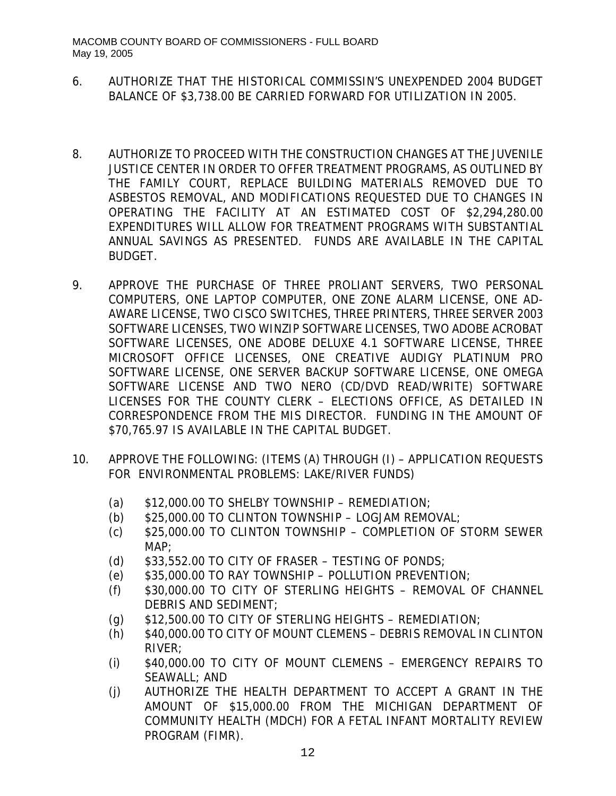- 6. AUTHORIZE THAT THE HISTORICAL COMMISSIN'S UNEXPENDED 2004 BUDGET BALANCE OF \$3,738.00 BE CARRIED FORWARD FOR UTILIZATION IN 2005.
- 8. AUTHORIZE TO PROCEED WITH THE CONSTRUCTION CHANGES AT THE JUVENILE JUSTICE CENTER IN ORDER TO OFFER TREATMENT PROGRAMS, AS OUTLINED BY THE FAMILY COURT, REPLACE BUILDING MATERIALS REMOVED DUE TO ASBESTOS REMOVAL, AND MODIFICATIONS REQUESTED DUE TO CHANGES IN OPERATING THE FACILITY AT AN ESTIMATED COST OF \$2,294,280.00 EXPENDITURES WILL ALLOW FOR TREATMENT PROGRAMS WITH SUBSTANTIAL ANNUAL SAVINGS AS PRESENTED. FUNDS ARE AVAILABLE IN THE CAPITAL BUDGET.
- 9. APPROVE THE PURCHASE OF THREE PROLIANT SERVERS, TWO PERSONAL COMPUTERS, ONE LAPTOP COMPUTER, ONE ZONE ALARM LICENSE, ONE AD-AWARE LICENSE, TWO CISCO SWITCHES, THREE PRINTERS, THREE SERVER 2003 SOFTWARE LICENSES, TWO WINZIP SOFTWARE LICENSES, TWO ADOBE ACROBAT SOFTWARE LICENSES, ONE ADOBE DELUXE 4.1 SOFTWARE LICENSE, THREE MICROSOFT OFFICE LICENSES, ONE CREATIVE AUDIGY PLATINUM PRO SOFTWARE LICENSE, ONE SERVER BACKUP SOFTWARE LICENSE, ONE OMEGA SOFTWARE LICENSE AND TWO NERO (CD/DVD READ/WRITE) SOFTWARE LICENSES FOR THE COUNTY CLERK – ELECTIONS OFFICE, AS DETAILED IN CORRESPONDENCE FROM THE MIS DIRECTOR. FUNDING IN THE AMOUNT OF \$70,765.97 IS AVAILABLE IN THE CAPITAL BUDGET.
- 10. APPROVE THE FOLLOWING: (ITEMS (A) THROUGH (I) APPLICATION REQUESTS FOR ENVIRONMENTAL PROBLEMS: LAKE/RIVER FUNDS)
	- (a)  $$12,000.00$  TO SHELBY TOWNSHIP REMEDIATION;
	- (b) \$25,000.00 TO CLINTON TOWNSHIP LOGJAM REMOVAL;
	- (c) \$25,000.00 TO CLINTON TOWNSHIP COMPLETION OF STORM SEWER MAP;
	- (d)  $$33,552.00$  TO CITY OF FRASER TESTING OF PONDS;
	- (e) \$35,000.00 TO RAY TOWNSHIP POLLUTION PREVENTION;
	- (f) \$30,000.00 TO CITY OF STERLING HEIGHTS REMOVAL OF CHANNEL DEBRIS AND SEDIMENT;
	- (g)  $$12,500.00$  TO CITY OF STERLING HEIGHTS REMEDIATION;
	- (h) \$40,000.00 TO CITY OF MOUNT CLEMENS DEBRIS REMOVAL IN CLINTON RIVER;
	- (i) \$40,000.00 TO CITY OF MOUNT CLEMENS EMERGENCY REPAIRS TO SEAWALL; AND
	- (j) AUTHORIZE THE HEALTH DEPARTMENT TO ACCEPT A GRANT IN THE AMOUNT OF \$15,000.00 FROM THE MICHIGAN DEPARTMENT OF COMMUNITY HEALTH (MDCH) FOR A FETAL INFANT MORTALITY REVIEW PROGRAM (FIMR).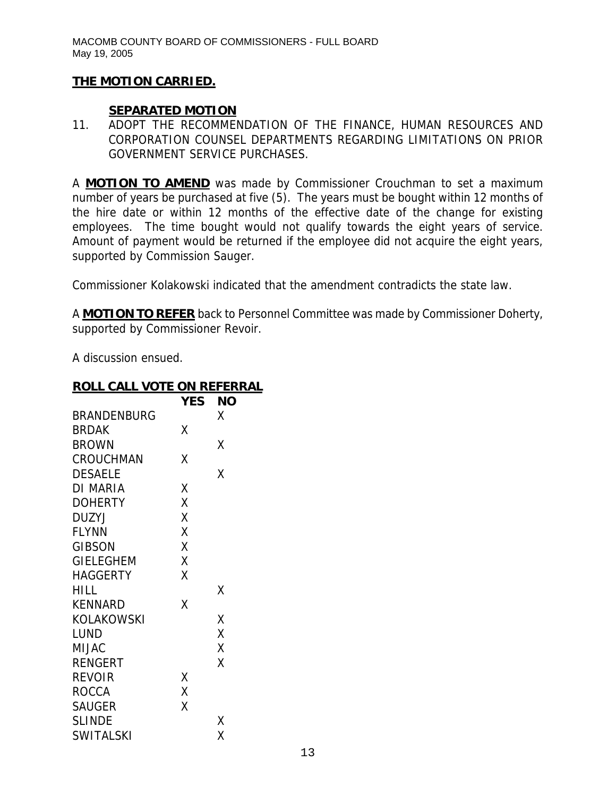### **SEPARATED MOTION**

11. ADOPT THE RECOMMENDATION OF THE FINANCE, HUMAN RESOURCES AND CORPORATION COUNSEL DEPARTMENTS REGARDING LIMITATIONS ON PRIOR GOVERNMENT SERVICE PURCHASES.

A **MOTION TO AMEND** was made by Commissioner Crouchman to set a maximum number of years be purchased at five (5). The years must be bought within 12 months of the hire date or within 12 months of the effective date of the change for existing employees. The time bought would not qualify towards the eight years of service. Amount of payment would be returned if the employee did not acquire the eight years, supported by Commission Sauger.

Commissioner Kolakowski indicated that the amendment contradicts the state law.

A **MOTION TO REFER** back to Personnel Committee was made by Commissioner Doherty, supported by Commissioner Revoir.

A discussion ensued.

| <u>ROLL CALL VOTE ON REFERRAL</u> |    |  |
|-----------------------------------|----|--|
| <b>YES</b>                        | ΝO |  |
|                                   | Χ  |  |
| Χ                                 |    |  |
|                                   | Χ  |  |
| χ                                 |    |  |
|                                   | χ  |  |
| Χ                                 |    |  |
| Χ                                 |    |  |
| Χ                                 |    |  |
| Χ                                 |    |  |
| Χ                                 |    |  |
| X                                 |    |  |
| Χ                                 |    |  |
|                                   | χ  |  |
| X                                 |    |  |
|                                   | χ  |  |
|                                   | X  |  |
|                                   | Χ  |  |
|                                   | X  |  |
| χ                                 |    |  |
| X                                 |    |  |
| χ                                 |    |  |
|                                   | Χ  |  |
|                                   | Χ  |  |
|                                   |    |  |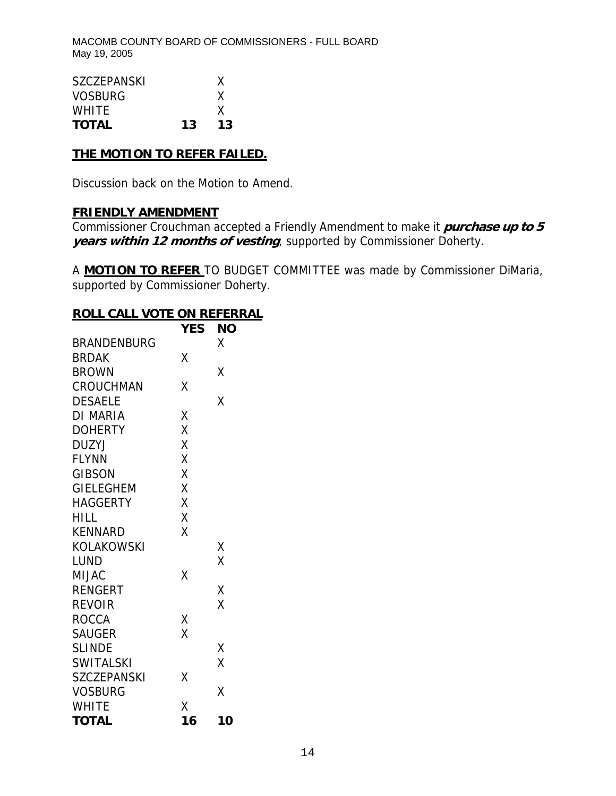| <b>SZCZEPANSKI</b> |    | X  |
|--------------------|----|----|
| <b>VOSBURG</b>     |    | X  |
| <b>WHITE</b>       |    | X  |
| <b>TOTAL</b>       | 13 | 13 |

### **THE MOTION TO REFER FAILED.**

Discussion back on the Motion to Amend.

# **FRIENDLY AMENDMENT**

Commissioner Crouchman accepted a Friendly Amendment to make it **purchase up to 5 years within 12 months of vesting**, supported by Commissioner Doherty.

A **MOTION TO REFER** TO BUDGET COMMITTEE was made by Commissioner DiMaria, supported by Commissioner Doherty.

### **ROLL CALL VOTE ON REFERRAL**

|                    | <b>YES</b> | ΝO |
|--------------------|------------|----|
| <b>BRANDENBURG</b> |            | Χ  |
| <b>BRDAK</b>       | Χ          |    |
| <b>BROWN</b>       |            | Χ  |
| CROUCHMAN          | Χ          |    |
| <b>DESAELE</b>     |            | X  |
| <b>DI MARIA</b>    | Χ          |    |
| <b>DOHERTY</b>     | X          |    |
| <b>DUZYJ</b>       | X          |    |
| <b>FLYNN</b>       | X          |    |
| <b>GIBSON</b>      | X          |    |
| GIELEGHEM          | X          |    |
| <b>HAGGERTY</b>    | X          |    |
| HILL               | X          |    |
| <b>KENNARD</b>     | Χ          |    |
| KOLAKOWSKI         |            | Χ  |
| LUND               |            | X  |
| <b>MIJAC</b>       | Χ          |    |
| <b>RENGERT</b>     |            | Χ  |
| <b>REVOIR</b>      |            | Χ  |
| ROCCA              | Χ          |    |
| <b>SAUGER</b>      | X          |    |
| <b>SLINDE</b>      |            | Χ  |
| <b>SWITALSKI</b>   |            | Χ  |
| <b>SZCZEPANSKI</b> | X          |    |
| <b>VOSBURG</b>     |            | X  |
| <b>WHITE</b>       | Χ          |    |
| <b>TOTAL</b>       | 16         | 10 |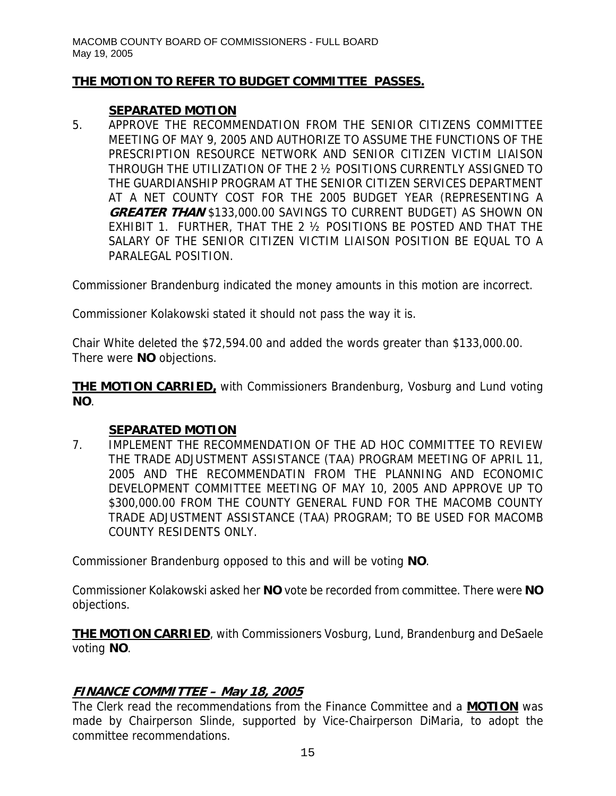# **THE MOTION TO REFER TO BUDGET COMMITTEE PASSES.**

# **SEPARATED MOTION**

5. APPROVE THE RECOMMENDATION FROM THE SENIOR CITIZENS COMMITTEE MEETING OF MAY 9, 2005 AND AUTHORIZE TO ASSUME THE FUNCTIONS OF THE PRESCRIPTION RESOURCE NETWORK AND SENIOR CITIZEN VICTIM LIAISON THROUGH THE UTILIZATION OF THE 2 ½ POSITIONS CURRENTLY ASSIGNED TO THE GUARDIANSHIP PROGRAM AT THE SENIOR CITIZEN SERVICES DEPARTMENT AT A NET COUNTY COST FOR THE 2005 BUDGET YEAR (REPRESENTING A **GREATER THAN** \$133,000.00 SAVINGS TO CURRENT BUDGET) AS SHOWN ON EXHIBIT 1. FURTHER, THAT THE 2 ½ POSITIONS BE POSTED AND THAT THE SALARY OF THE SENIOR CITIZEN VICTIM LIAISON POSITION BE EQUAL TO A PARALEGAL POSITION.

Commissioner Brandenburg indicated the money amounts in this motion are incorrect.

Commissioner Kolakowski stated it should not pass the way it is.

Chair White deleted the \$72,594.00 and added the words greater than \$133,000.00. There were **NO** objections.

**THE MOTION CARRIED,** with Commissioners Brandenburg, Vosburg and Lund voting **NO**.

# **SEPARATED MOTION**

7. IMPLEMENT THE RECOMMENDATION OF THE AD HOC COMMITTEE TO REVIEW THE TRADE ADJUSTMENT ASSISTANCE (TAA) PROGRAM MEETING OF APRIL 11, 2005 AND THE RECOMMENDATIN FROM THE PLANNING AND ECONOMIC DEVELOPMENT COMMITTEE MEETING OF MAY 10, 2005 AND APPROVE UP TO \$300,000.00 FROM THE COUNTY GENERAL FUND FOR THE MACOMB COUNTY TRADE ADJUSTMENT ASSISTANCE (TAA) PROGRAM; TO BE USED FOR MACOMB COUNTY RESIDENTS ONLY.

Commissioner Brandenburg opposed to this and will be voting **NO**.

Commissioner Kolakowski asked her **NO** vote be recorded from committee. There were **NO** objections.

**THE MOTION CARRIED**, with Commissioners Vosburg, Lund, Brandenburg and DeSaele voting **NO**.

# **FINANCE COMMITTEE – May 18, 2005**

The Clerk read the recommendations from the Finance Committee and a **MOTION** was made by Chairperson Slinde, supported by Vice-Chairperson DiMaria, to adopt the committee recommendations.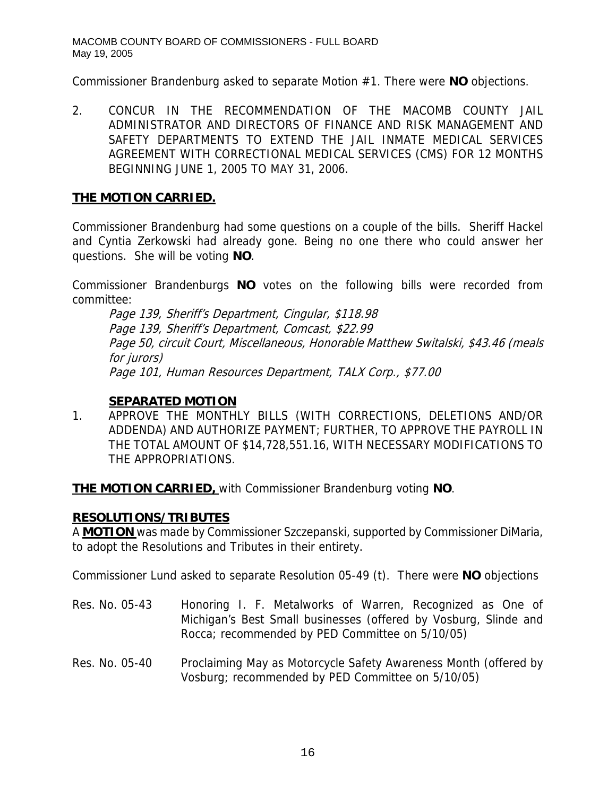Commissioner Brandenburg asked to separate Motion #1. There were **NO** objections.

2. CONCUR IN THE RECOMMENDATION OF THE MACOMB COUNTY JAIL ADMINISTRATOR AND DIRECTORS OF FINANCE AND RISK MANAGEMENT AND SAFETY DEPARTMENTS TO EXTEND THE JAIL INMATE MEDICAL SERVICES AGREEMENT WITH CORRECTIONAL MEDICAL SERVICES (CMS) FOR 12 MONTHS BEGINNING JUNE 1, 2005 TO MAY 31, 2006.

# **THE MOTION CARRIED.**

Commissioner Brandenburg had some questions on a couple of the bills. Sheriff Hackel and Cyntia Zerkowski had already gone. Being no one there who could answer her questions. She will be voting **NO**.

Commissioner Brandenburgs **NO** votes on the following bills were recorded from committee:

Page 139, Sheriff's Department, Cingular, \$118.98 Page 139, Sheriff's Department, Comcast, \$22.99 Page 50, circuit Court, Miscellaneous, Honorable Matthew Switalski, \$43.46 (meals for jurors) Page 101, Human Resources Department, TALX Corp., \$77.00

### **SEPARATED MOTION**

1. APPROVE THE MONTHLY BILLS (WITH CORRECTIONS, DELETIONS AND/OR ADDENDA) AND AUTHORIZE PAYMENT; FURTHER, TO APPROVE THE PAYROLL IN THE TOTAL AMOUNT OF \$14,728,551.16, WITH NECESSARY MODIFICATIONS TO THE APPROPRIATIONS.

**THE MOTION CARRIED,** with Commissioner Brandenburg voting **NO**.

# **RESOLUTIONS/TRIBUTES**

A **MOTION** was made by Commissioner Szczepanski, supported by Commissioner DiMaria, to adopt the Resolutions and Tributes in their entirety.

Commissioner Lund asked to separate Resolution 05-49 (t). There were **NO** objections

- Res. No. 05-43 Honoring I. F. Metalworks of Warren, Recognized as One of Michigan's Best Small businesses (offered by Vosburg, Slinde and Rocca; recommended by PED Committee on 5/10/05)
- Res. No. 05-40 Proclaiming May as Motorcycle Safety Awareness Month (offered by Vosburg; recommended by PED Committee on 5/10/05)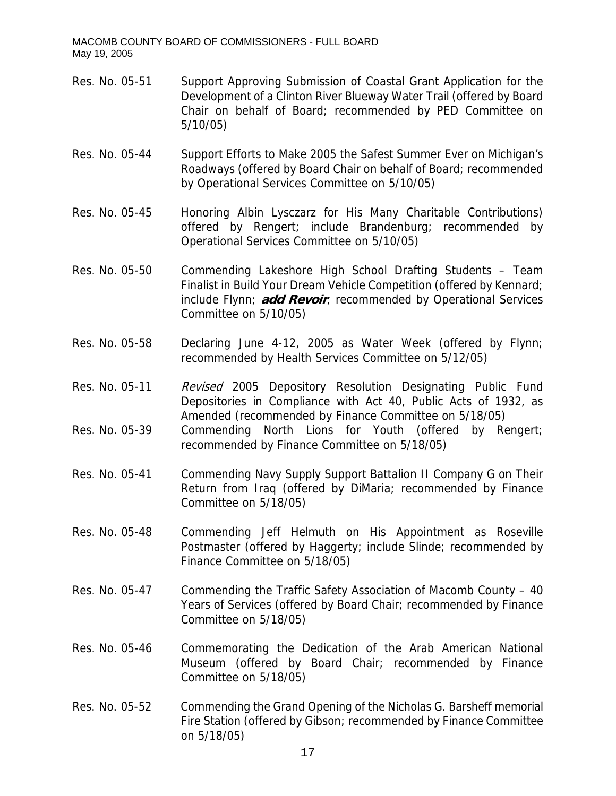- Res. No. 05-51 Support Approving Submission of Coastal Grant Application for the Development of a Clinton River Blueway Water Trail (offered by Board Chair on behalf of Board; recommended by PED Committee on 5/10/05)
- Res. No. 05-44 Support Efforts to Make 2005 the Safest Summer Ever on Michigan's Roadways (offered by Board Chair on behalf of Board; recommended by Operational Services Committee on 5/10/05)
- Res. No. 05-45 Honoring Albin Lysczarz for His Many Charitable Contributions) offered by Rengert; include Brandenburg; recommended by Operational Services Committee on 5/10/05)
- Res. No. 05-50 Commending Lakeshore High School Drafting Students Team Finalist in Build Your Dream Vehicle Competition (offered by Kennard; include Flynn; **add Revoir**; recommended by Operational Services Committee on 5/10/05)
- Res. No. 05-58 Declaring June 4-12, 2005 as Water Week (offered by Flynn; recommended by Health Services Committee on 5/12/05)
- Res. No. 05-11 Revised 2005 Depository Resolution Designating Public Fund Depositories in Compliance with Act 40, Public Acts of 1932, as Amended (recommended by Finance Committee on 5/18/05)
- Res. No. 05-39 Commending North Lions for Youth (offered by Rengert; recommended by Finance Committee on 5/18/05)
- Res. No. 05-41 Commending Navy Supply Support Battalion II Company G on Their Return from Iraq (offered by DiMaria; recommended by Finance Committee on 5/18/05)
- Res. No. 05-48 Commending Jeff Helmuth on His Appointment as Roseville Postmaster (offered by Haggerty; include Slinde; recommended by Finance Committee on 5/18/05)
- Res. No. 05-47 Commending the Traffic Safety Association of Macomb County 40 Years of Services (offered by Board Chair; recommended by Finance Committee on 5/18/05)
- Res. No. 05-46 Commemorating the Dedication of the Arab American National Museum (offered by Board Chair; recommended by Finance Committee on 5/18/05)
- Res. No. 05-52 Commending the Grand Opening of the Nicholas G. Barsheff memorial Fire Station (offered by Gibson; recommended by Finance Committee on 5/18/05)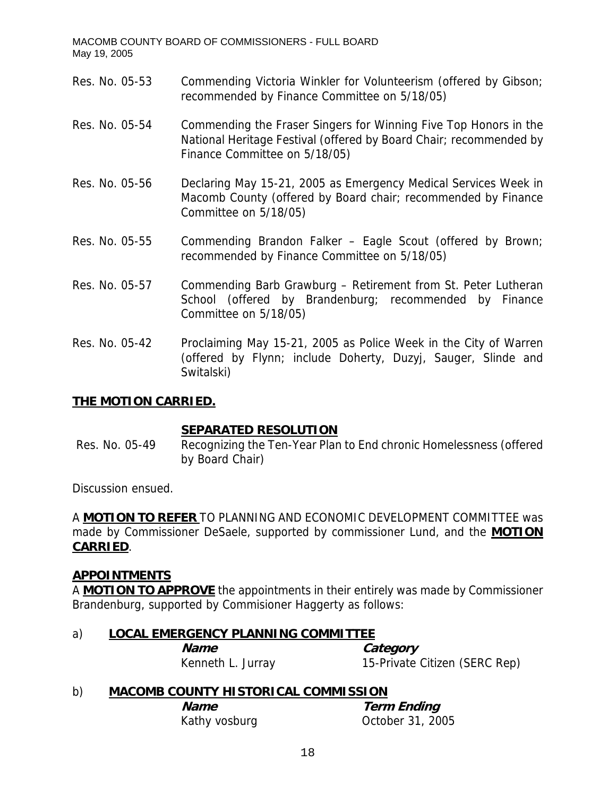- Res. No. 05-53 Commending Victoria Winkler for Volunteerism (offered by Gibson; recommended by Finance Committee on 5/18/05)
- Res. No. 05-54 Commending the Fraser Singers for Winning Five Top Honors in the National Heritage Festival (offered by Board Chair; recommended by Finance Committee on 5/18/05)
- Res. No. 05-56 Declaring May 15-21, 2005 as Emergency Medical Services Week in Macomb County (offered by Board chair; recommended by Finance Committee on 5/18/05)
- Res. No. 05-55 Commending Brandon Falker Eagle Scout (offered by Brown; recommended by Finance Committee on 5/18/05)
- Res. No. 05-57 Commending Barb Grawburg Retirement from St. Peter Lutheran School (offered by Brandenburg; recommended by Finance Committee on 5/18/05)
- Res. No. 05-42 Proclaiming May 15-21, 2005 as Police Week in the City of Warren (offered by Flynn; include Doherty, Duzyj, Sauger, Slinde and Switalski)

# **THE MOTION CARRIED.**

### **SEPARATED RESOLUTION**

 Res. No. 05-49 Recognizing the Ten-Year Plan to End chronic Homelessness (offered by Board Chair)

Discussion ensued.

A **MOTION TO REFER** TO PLANNING AND ECONOMIC DEVELOPMENT COMMITTEE was made by Commissioner DeSaele, supported by commissioner Lund, and the **MOTION CARRIED**.

### **APPOINTMENTS**

A **MOTION TO APPROVE** the appointments in their entirely was made by Commissioner Brandenburg, supported by Commisioner Haggerty as follows:

### a) **LOCAL EMERGENCY PLANNING COMMITTEE**

**Name Category** Kenneth L. Jurray 15-Private Citizen (SERC Rep)

# b) **MACOMB COUNTY HISTORICAL COMMISSION**

**Name** Term Ending Kathy vosburg **Calculation** October 31, 2005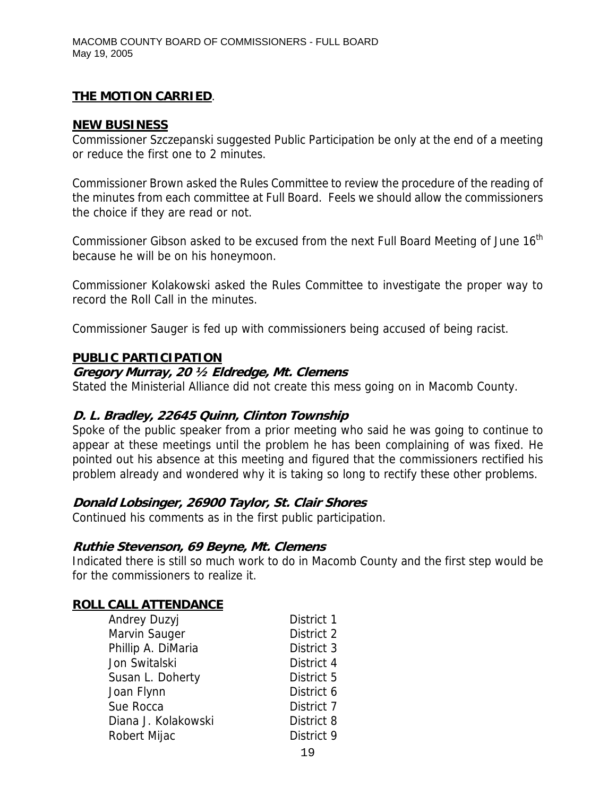## **NEW BUSINESS**

Commissioner Szczepanski suggested Public Participation be only at the end of a meeting or reduce the first one to 2 minutes.

Commissioner Brown asked the Rules Committee to review the procedure of the reading of the minutes from each committee at Full Board. Feels we should allow the commissioners the choice if they are read or not.

Commissioner Gibson asked to be excused from the next Full Board Meeting of June 16<sup>th</sup> because he will be on his honeymoon.

Commissioner Kolakowski asked the Rules Committee to investigate the proper way to record the Roll Call in the minutes.

Commissioner Sauger is fed up with commissioners being accused of being racist.

## **PUBLIC PARTICIPATION**

## **Gregory Murray, 20 ½ Eldredge, Mt. Clemens**

Stated the Ministerial Alliance did not create this mess going on in Macomb County.

# **D. L. Bradley, 22645 Quinn, Clinton Township**

Spoke of the public speaker from a prior meeting who said he was going to continue to appear at these meetings until the problem he has been complaining of was fixed. He pointed out his absence at this meeting and figured that the commissioners rectified his problem already and wondered why it is taking so long to rectify these other problems.

# **Donald Lobsinger, 26900 Taylor, St. Clair Shores**

Continued his comments as in the first public participation.

### **Ruthie Stevenson, 69 Beyne, Mt. Clemens**

Indicated there is still so much work to do in Macomb County and the first step would be for the commissioners to realize it.

# **ROLL CALL ATTENDANCE**

| Andrey Duzyj        | District 1 |
|---------------------|------------|
| Marvin Sauger       | District 2 |
| Phillip A. DiMaria  | District 3 |
| Jon Switalski       | District 4 |
| Susan L. Doherty    | District 5 |
| Joan Flynn          | District 6 |
| Sue Rocca           | District 7 |
| Diana J. Kolakowski | District 8 |
| Robert Mijac        | District 9 |